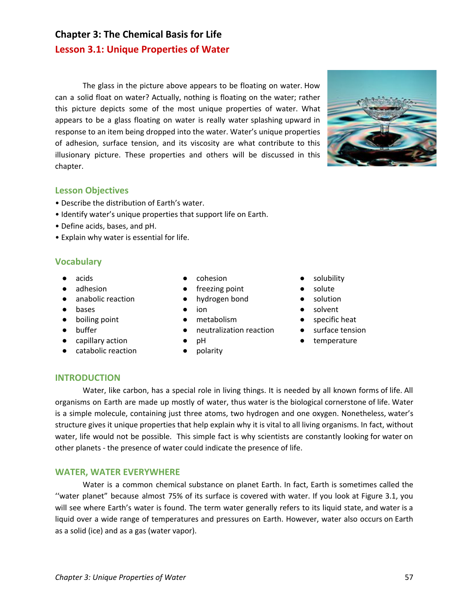# **Chapter 3: The Chemical Basis for Life Lesson 3.1: Unique Properties of Water**

The glass in the picture above appears to be floating on water. How can a solid float on water? Actually, nothing is floating on the water; rather this picture depicts some of the most unique properties of water. What appears to be a glass floating on water is really water splashing upward in response to an item being dropped into the water. Water's unique properties of adhesion, surface tension, and its viscosity are what contribute to this illusionary picture. These properties and others will be discussed in this chapter.



## **Lesson Objectives**

- Describe the distribution of Earth's water.
- Identify water's unique properties that support life on Earth.
- Define acids, bases, and pH.
- Explain why water is essential for life.

# **Vocabulary**

- acids
- adhesion
- anabolic reaction
- bases
- boiling point
- buffer
- capillary action
- catabolic reaction
- cohesion
- freezing point
- hydrogen bond
- ion
- metabolism
- neutralization reaction
- pH
- polarity
- solubility
- solute
- solution
- solvent
- specific heat
- surface tension
- temperature

# **INTRODUCTION**

Water, like carbon, has a special role in living things. It is needed by all known forms of life. All organisms on Earth are made up mostly of water, thus water is the biological cornerstone of life. Water is a simple molecule, containing just three atoms, two hydrogen and one oxygen. Nonetheless, water's structure gives it unique properties that help explain why it is vital to all living organisms. In fact, without water, life would not be possible. This simple fact is why scientists are constantly looking for water on other planets - the presence of water could indicate the presence of life.

# **WATER, WATER EVERYWHERE**

Water is a common chemical substance on planet Earth. In fact, Earth is sometimes called the ''water planet" because almost 75% of its surface is covered with water. If you look at Figure 3.1, you will see where Earth's water is found. The term water generally refers to its liquid state, and water is a liquid over a wide range of temperatures and pressures on Earth. However, water also occurs on Earth as a solid (ice) and as a gas (water vapor).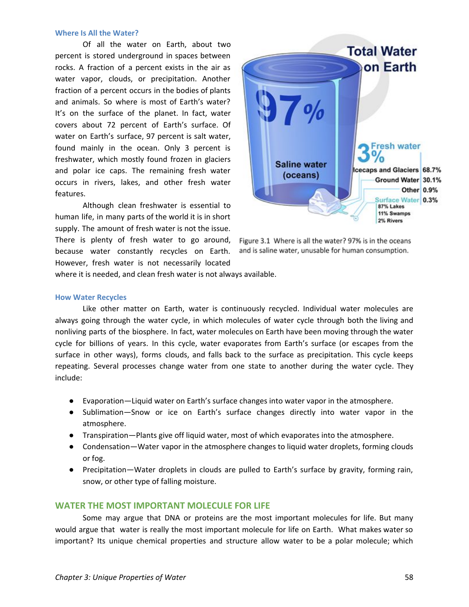#### **Where Is All the Water?**

Of all the water on Earth, about two percent is stored underground in spaces between rocks. A fraction of a percent exists in the air as water vapor, clouds, or precipitation. Another fraction of a percent occurs in the bodies of plants and animals. So where is most of Earth's water? It's on the surface of the planet. In fact, water covers about 72 percent of Earth's surface. Of water on Earth's surface, 97 percent is salt water, found mainly in the ocean. Only 3 percent is freshwater, which mostly found frozen in glaciers and polar ice caps. The remaining fresh water occurs in rivers, lakes, and other fresh water features.

Although clean freshwater is essential to human life, in many parts of the world it is in short supply. The amount of fresh water is not the issue. There is plenty of fresh water to go around, because water constantly recycles on Earth. However, fresh water is not necessarily located



Figure 3.1 Where is all the water? 97% is in the oceans and is saline water, unusable for human consumption.

where it is needed, and clean fresh water is not always available.

#### **How Water Recycles**

Like other matter on Earth, water is continuously recycled. Individual water molecules are always going through the water cycle, in which molecules of water cycle through both the living and nonliving parts of the biosphere. In fact, water molecules on Earth have been moving through the water cycle for billions of years. In this cycle, water evaporates from Earth's surface (or escapes from the surface in other ways), forms clouds, and falls back to the surface as precipitation. This cycle keeps repeating. Several processes change water from one state to another during the water cycle. They include:

- Evaporation—Liquid water on Earth's surface changes into water vapor in the atmosphere.
- Sublimation—Snow or ice on Earth's surface changes directly into water vapor in the atmosphere.
- Transpiration—Plants give off liquid water, most of which evaporates into the atmosphere.
- Condensation—Water vapor in the atmosphere changes to liquid water droplets, forming clouds or fog.
- Precipitation—Water droplets in clouds are pulled to Earth's surface by gravity, forming rain, snow, or other type of falling moisture.

### **WATER THE MOST IMPORTANT MOLECULE FOR LIFE**

Some may argue that DNA or proteins are the most important molecules for life. But many would argue that water is really the most important molecule for life on Earth. What makes water so important? Its unique chemical properties and structure allow water to be a polar molecule; which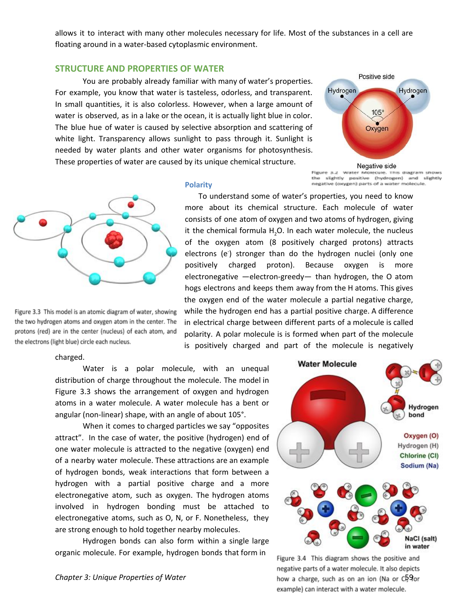allows it to interact with many other molecules necessary for life. Most of the substances in a cell are floating around in a water-based cytoplasmic environment.

#### **STRUCTURE AND PROPERTIES OF WATER**

You are probably already familiar with many of water's properties. For example, you know that water is tasteless, odorless, and transparent. In small quantities, it is also colorless. However, when a large amount of water is observed, as in a lake or the ocean, it is actually light blue in color. The blue hue of water is caused by selective absorption and scattering of white light. Transparency allows sunlight to pass through it. Sunlight is needed by water plants and other water organisms for photosynthesis. These properties of water are caused by its unique chemical structure.



Figure 3.2 Water Molecule. This diagram shows slightly positive (hydrogen) and slightly negative (corygen) parts of a water molecule.



Figure 3.3 This model is an atomic diagram of water, showing the two hydrogen atoms and oxygen atom in the center. The protons (red) are in the center (nucleus) of each atom, and the electrons (light blue) circle each nucleus.

# **Polarity**

To understand some of water's properties, you need to know more about its chemical structure. Each molecule of water consists of one atom of oxygen and two atoms of hydrogen, giving it the chemical formula H<sub>2</sub>O. In each water molecule, the nucleus of the oxygen atom (8 positively charged protons) attracts electrons (e) stronger than do the hydrogen nuclei (only one positively charged proton). Because oxygen is more electronegative —electron-greedy— than hydrogen, the O atom hogs electrons and keeps them away from the H atoms. This gives the oxygen end of the water molecule a partial negative charge, while the hydrogen end has a partial positive charge. A difference in electrical charge between different parts of a molecule is called polarity. A polar molecule is is formed when part of the molecule is positively charged and part of the molecule is negatively

#### charged.

Water is a polar molecule, with an unequal distribution of charge throughout the molecule. The model in Figure 3.3 shows the arrangement of oxygen and hydrogen atoms in a water molecule. A water molecule has a bent or angular (non-linear) shape, with an angle of about 105°.

When it comes to charged particles we say "opposites attract". In the case of water, the positive (hydrogen) end of one water molecule is attracted to the negative (oxygen) end of a nearby water molecule. These attractions are an example of hydrogen bonds, weak interactions that form between a hydrogen with a partial positive charge and a more electronegative atom, such as oxygen. The hydrogen atoms involved in hydrogen bonding must be attached to electronegative atoms, such as O, N, or F. Nonetheless, they are strong enough to hold together nearby molecules.

Hydrogen bonds can also form within a single large organic molecule. For example, hydrogen bonds that form in



Figure 3.4 This diagram shows the positive and negative parts of a water molecule. It also depicts *Chapter* 3: Unique Properties of Water 50 and 50 and 50 and 50 and 50 and 50 and 50 and 59 and 59 and 59 and 59 and 59 and 59 and 59 and 59 and 59 and 59 and 59 and 59 and 59 and 59 and 50 and 50 and 50 and 50 and 50 and example) can interact with a water molecule.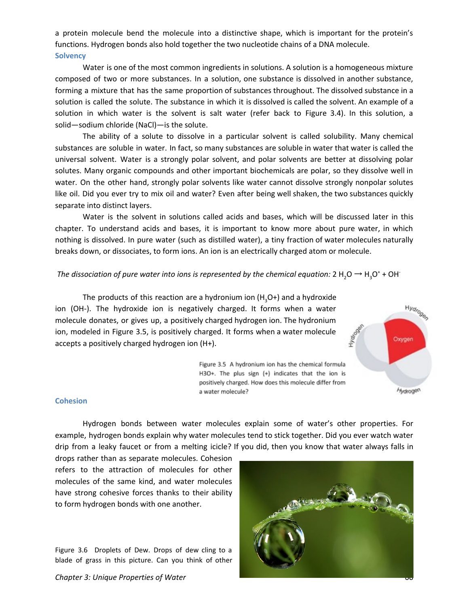a protein molecule bend the molecule into a distinctive shape, which is important for the protein's functions. Hydrogen bonds also hold together the two nucleotide chains of a DNA molecule. **Solvency**

Water is one of the most common ingredients in solutions. A solution is a homogeneous mixture composed of two or more substances. In a solution, one substance is dissolved in another substance, forming a mixture that has the same proportion of substances throughout. The dissolved substance in a solution is called the solute. The substance in which it is dissolved is called the solvent. An example of a solution in which water is the solvent is salt water (refer back to Figure 3.4). In this solution, a solid—sodium chloride (NaCl)—is the solute.

The ability of a solute to dissolve in a particular solvent is called solubility. Many chemical substances are soluble in water. In fact, so many substances are soluble in water that water is called the universal solvent. Water is a strongly polar solvent, and polar solvents are better at dissolving polar solutes. Many organic compounds and other important biochemicals are polar, so they dissolve well in water. On the other hand, strongly polar solvents like water cannot dissolve strongly nonpolar solutes like oil. Did you ever try to mix oil and water? Even after being well shaken, the two substances quickly separate into distinct layers.

Water is the solvent in solutions called acids and bases, which will be discussed later in this chapter. To understand acids and bases, it is important to know more about pure water, in which nothing is dissolved. In pure water (such as distilled water), a tiny fraction of water molecules naturally breaks down, or dissociates, to form ions. An ion is an electrically charged atom or molecule.

*The dissociation of pure water into ions is represented by the chemical equation:* 2  $H_2O \rightarrow H_3O^*$  + OH

The products of this reaction are a hydronium ion  $(H_3O+)$  and a hydroxide ion (OH-). The hydroxide ion is negatively charged. It forms when a water molecule donates, or gives up, a positively charged hydrogen ion. The hydronium ion, modeled in Figure 3.5, is positively charged. It forms when a water molecule accepts a positively charged hydrogen ion (H+).



Figure 3.5 A hydronium ion has the chemical formula H3O+. The plus sign (+) indicates that the ion is positively charged. How does this molecule differ from a water molecule?

#### **Cohesion**

Hydrogen bonds between water molecules explain some of water's other properties. For example, hydrogen bonds explain why water molecules tend to stick together. Did you ever watch water drip from a leaky faucet or from a melting icicle? If you did, then you know that water always falls in

drops rather than as separate molecules. Cohesion refers to the attraction of molecules for other molecules of the same kind, and water molecules have strong cohesive forces thanks to their ability to form hydrogen bonds with one another.

Figure 3.6 Droplets of Dew. Drops of dew cling to a blade of grass in this picture. Can you think of other



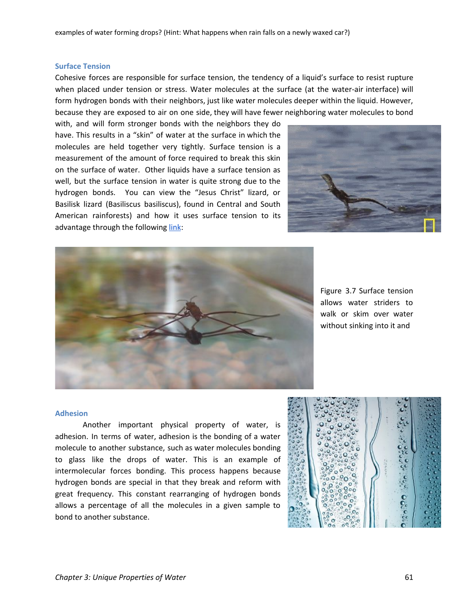#### **Surface Tension**

Cohesive forces are responsible for surface tension, the tendency of a liquid's surface to resist rupture when placed under tension or stress. Water molecules at the surface (at the water-air interface) will form hydrogen bonds with their neighbors, just like water molecules deeper within the liquid. However, because they are exposed to air on one side, they will have fewer neighboring water molecules to bond

with, and will form stronger bonds with the neighbors they do have. This results in a "skin" of water at the surface in which the molecules are held together very tightly. Surface tension is a measurement of the amount of force required to break this skin on the surface of water. Other liquids have a surface tension as well, but the surface tension in water is quite strong due to the hydrogen bonds. You can view the "Jesus Christ" lizard, or Basilisk lizard (Basiliscus basiliscus), found in Central and South American rainforests) and how it uses surface tension to its advantage through the following [link](http://www.youtube.com/watch?v=45yabrnryXk):





Figure 3.7 Surface tension allows water striders to walk or skim over water without sinking into it and

#### **Adhesion**

Another important physical property of water, is adhesion. In terms of water, adhesion is the bonding of a water molecule to another substance, such as water molecules bonding to glass like the drops of water. This is an example of intermolecular forces bonding. This process happens because hydrogen bonds are special in that they break and reform with great frequency. This constant rearranging of hydrogen bonds allows a percentage of all the molecules in a given sample to bond to another substance.

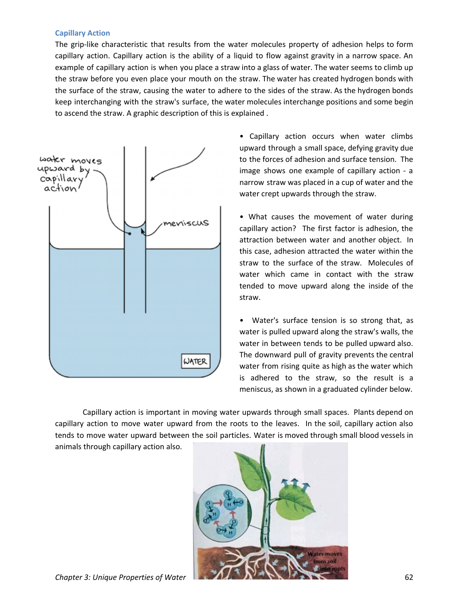#### **Capillary Action**

The grip-like characteristic that results from the water molecules property of adhesion helps to form capillary action. Capillary action is the ability of a liquid to flow against gravity in a narrow space. An example of capillary action is when you place a straw into a glass of water. The water seems to climb up the straw before you even place your mouth on the straw. The water has created hydrogen bonds with the surface of the straw, causing the water to adhere to the sides of the straw. As the hydrogen bonds keep interchanging with the straw's surface, the water molecules interchange positions and some begin to ascend the straw. A graphic description of this is explained .



• Capillary action occurs when water climbs upward through a small space, defying gravity due to the forces of adhesion and surface tension. The image shows one example of capillary action - a narrow straw was placed in a cup of water and the water crept upwards through the straw.

• What causes the movement of water during capillary action? The first factor is adhesion, the attraction between water and another object. In this case, adhesion attracted the water within the straw to the surface of the straw. Molecules of water which came in contact with the straw tended to move upward along the inside of the straw.

• Water's surface tension is so strong that, as water is pulled upward along the straw's walls, the water in between tends to be pulled upward also. The downward pull of gravity prevents the central water from rising quite as high as the water which is adhered to the straw, so the result is a meniscus, as shown in a graduated cylinder below.

Capillary action is important in moving water upwards through small spaces. Plants depend on capillary action to move water upward from the roots to the leaves. In the soil, capillary action also tends to move water upward between the soil particles. Water is moved through small blood vessels in animals through capillary action also.

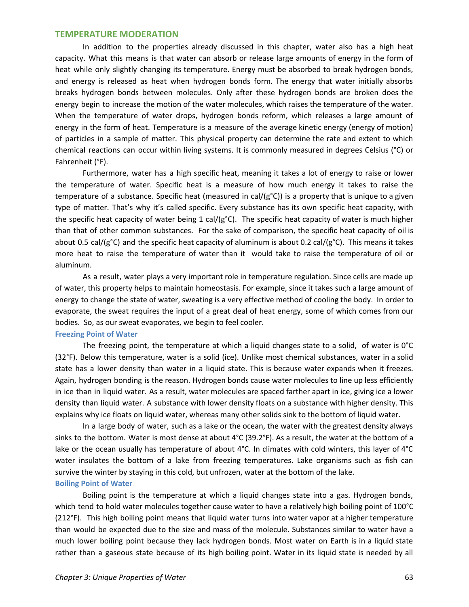#### **TEMPERATURE MODERATION**

In addition to the properties already discussed in this chapter, water also has a high heat capacity. What this means is that water can absorb or release large amounts of energy in the form of heat while only slightly changing its temperature. Energy must be absorbed to break hydrogen bonds, and energy is released as heat when hydrogen bonds form. The energy that water initially absorbs breaks hydrogen bonds between molecules. Only after these hydrogen bonds are broken does the energy begin to increase the motion of the water molecules, which raises the temperature of the water. When the temperature of water drops, hydrogen bonds reform, which releases a large amount of energy in the form of heat. Temperature is a measure of the average kinetic energy (energy of motion) of particles in a sample of matter. This physical property can determine the rate and extent to which chemical reactions can occur within living systems. It is commonly measured in degrees Celsius (°C) or Fahrenheit (°F).

Furthermore, water has a high specific heat, meaning it takes a lot of energy to raise or lower the temperature of water. Specific heat is a measure of how much energy it takes to raise the temperature of a substance. Specific heat (measured in cal/ $(g^{\circ}C)$ ) is a property that is unique to a given type of matter. That's why it's called specific. Every substance has its own specific heat capacity, with the specific heat capacity of water being 1 cal/( $g^{\circ}$ C). The specific heat capacity of water is much higher than that of other common substances. For the sake of comparison, the specific heat capacity of oil is about 0.5 cal/( $g^{\circ}C$ ) and the specific heat capacity of aluminum is about 0.2 cal/( $g^{\circ}C$ ). This means it takes more heat to raise the temperature of water than it would take to raise the temperature of oil or aluminum.

As a result, water plays a very important role in temperature regulation. Since cells are made up of water, this property helps to maintain homeostasis. For example, since it takes such a large amount of energy to change the state of water, sweating is a very effective method of cooling the body. In order to evaporate, the sweat requires the input of a great deal of heat energy, some of which comes from our bodies. So, as our sweat evaporates, we begin to feel cooler.

#### **Freezing Point of Water**

The freezing point, the temperature at which a liquid changes state to a solid, of water is 0°C (32°F). Below this temperature, water is a solid (ice). Unlike most chemical substances, water in a solid state has a lower density than water in a liquid state. This is because water expands when it freezes. Again, hydrogen bonding is the reason. Hydrogen bonds cause water molecules to line up less efficiently in ice than in liquid water. As a result, water molecules are spaced farther apart in ice, giving ice a lower density than liquid water. A substance with lower density floats on a substance with higher density. This explains why ice floats on liquid water, whereas many other solids sink to the bottom of liquid water.

In a large body of water, such as a lake or the ocean, the water with the greatest density always sinks to the bottom. Water is most dense at about 4°C (39.2°F). As a result, the water at the bottom of a lake or the ocean usually has temperature of about 4°C. In climates with cold winters, this layer of 4°C water insulates the bottom of a lake from freezing temperatures. Lake organisms such as fish can survive the winter by staying in this cold, but unfrozen, water at the bottom of the lake. **Boiling Point of Water**

Boiling point is the temperature at which a liquid changes state into a gas. Hydrogen bonds, which tend to hold water molecules together cause water to have a relatively high boiling point of 100°C (212°F). This high boiling point means that liquid water turns into water vapor at a higher temperature than would be expected due to the size and mass of the molecule. Substances similar to water have a much lower boiling point because they lack hydrogen bonds. Most water on Earth is in a liquid state rather than a gaseous state because of its high boiling point. Water in its liquid state is needed by all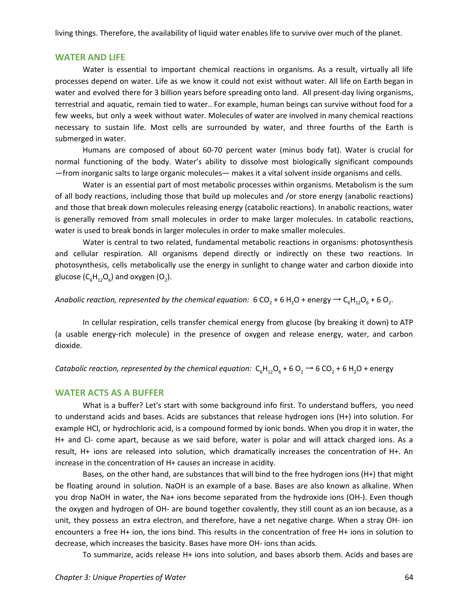living things. Therefore, the availability of liquid water enables life to survive over much of the planet.

#### **WATER AND LIFE**

Water is essential to important chemical reactions in organisms. As a result, virtually all life processes depend on water. Life as we know it could not exist without water. All life on Earth began in water and evolved there for 3 billion years before spreading onto land. All present-day living organisms, terrestrial and aquatic, remain tied to water.. For example, human beings can survive without food for a few weeks, but only a week without water. Molecules of water are involved in many chemical reactions necessary to sustain life. Most cells are surrounded by water, and three fourths of the Earth is submerged in water.

Humans are composed of about 60-70 percent water (minus body fat). Water is crucial for normal functioning of the body. Water's ability to dissolve most biologically significant compounds —from inorganic salts to large organic molecules— makes it a vital solvent inside organisms and cells.

Water is an essential part of most metabolic processes within organisms. Metabolism is the sum of all body reactions, including those that build up molecules and /or store energy (anabolic reactions) and those that break down molecules releasing energy (catabolic reactions). In anabolic reactions, water is generally removed from small molecules in order to make larger molecules. In catabolic reactions, water is used to break bonds in larger molecules in order to make smaller molecules.

Water is central to two related, fundamental metabolic reactions in organisms: photosynthesis and cellular respiration. All organisms depend directly or indirectly on these two reactions. In photosynthesis, cells metabolically use the energy in sunlight to change water and carbon dioxide into glucose ( $C_6H_{12}O_6$ ) and oxygen (O<sub>2</sub>).

*Anabolic reaction, represented by the chemical equation:* 6 CO<sub>2</sub> + 6 H<sub>2</sub>O + energy  $\rightarrow$  C<sub>6</sub>H<sub>12</sub>O<sub>6</sub> + 6 O<sub>2</sub>.

In cellular respiration, cells transfer chemical energy from glucose (by breaking it down) to ATP (a usable energy-rich molecule) in the presence of oxygen and release energy, water, and carbon dioxide.

*Catabolic reaction, represented by the chemical equation:*  $C_6H_{12}O_6 + 6O_2 \rightarrow 6 CO_2 + 6 H_2O$  + energy

#### **WATER ACTS AS A BUFFER**

What is a buffer? Let's start with some background info first. To understand buffers, you need to understand acids and bases. Acids are substances that release hydrogen ions (H+) into solution. For example HCl, or hydrochloric acid, is a compound formed by ionic bonds. When you drop it in water, the H+ and Cl- come apart, because as we said before, water is polar and will attack charged ions. As a result, H+ ions are released into solution, which dramatically increases the concentration of H+. An increase in the concentration of H+ causes an increase in acidity.

Bases, on the other hand, are substances that will bind to the free hydrogen ions (H+) that might be floating around in solution. NaOH is an example of a base. Bases are also known as alkaline. When you drop NaOH in water, the Na+ ions become separated from the hydroxide ions (OH-). Even though the oxygen and hydrogen of OH- are bound together covalently, they still count as an ion because, as a unit, they possess an extra electron, and therefore, have a net negative charge. When a stray OH- ion encounters a free H+ ion, the ions bind. This results in the concentration of free H+ ions in solution to decrease, which increases the basicity. Bases have more OH- ions than acids.

To summarize, acids release H+ ions into solution, and bases absorb them. Acids and bases are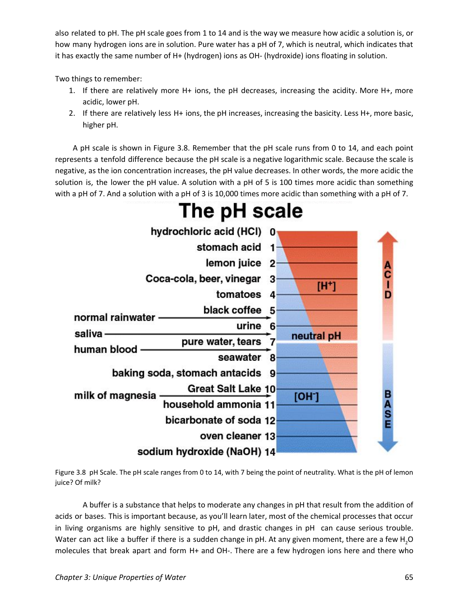also related to pH. The pH scale goes from 1 to 14 and is the way we measure how acidic a solution is, or how many hydrogen ions are in solution. Pure water has a pH of 7, which is neutral, which indicates that it has exactly the same number of H+ (hydrogen) ions as OH- (hydroxide) ions floating in solution.

Two things to remember:

- 1. If there are relatively more H+ ions, the pH decreases, increasing the acidity. More H+, more acidic, lower pH.
- 2. If there are relatively less H+ ions, the pH increases, increasing the basicity. Less H+, more basic, higher pH.

A pH scale is shown in Figure 3.8. Remember that the pH scale runs from 0 to 14, and each point represents a tenfold difference because the pH scale is a negative logarithmic scale. Because the scale is negative, as the ion concentration increases, the pH value decreases. In other words, the more acidic the solution is, the lower the pH value. A solution with a pH of 5 is 100 times more acidic than something with a pH of 7. And a solution with a pH of 3 is 10,000 times more acidic than something with a pH of 7.



# The pH scale

Figure 3.8 pH Scale. The pH scale ranges from 0 to 14, with 7 being the point of neutrality. What is the pH of lemon juice? Of milk?

A buffer is a substance that helps to moderate any changes in pH that result from the addition of acids or bases. This is important because, as you'll learn later, most of the chemical processes that occur in living organisms are highly sensitive to pH, and drastic changes in pH can cause serious trouble. Water can act like a buffer if there is a sudden change in pH. At any given moment, there are a few H<sub>2</sub>O molecules that break apart and form H+ and OH-. There are a few hydrogen ions here and there who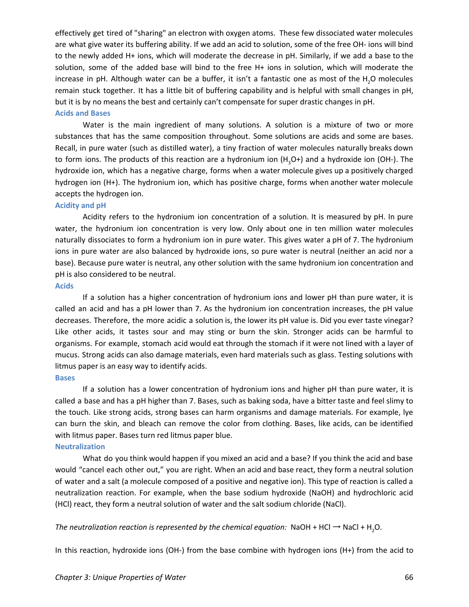effectively get tired of "sharing" an electron with oxygen atoms. These few dissociated water molecules are what give water its buffering ability. If we add an acid to solution, some of the free OH- ions will bind to the newly added H+ ions, which will moderate the decrease in pH. Similarly, if we add a base to the solution, some of the added base will bind to the free H+ ions in solution, which will moderate the increase in pH. Although water can be a buffer, it isn't a fantastic one as most of the  $H<sub>2</sub>O$  molecules remain stuck together. It has a little bit of buffering capability and is helpful with small changes in pH, but it is by no means the best and certainly can't compensate for super drastic changes in pH.

#### **Acids and Bases**

Water is the main ingredient of many solutions. A solution is a mixture of two or more substances that has the same composition throughout. Some solutions are acids and some are bases. Recall, in pure water (such as distilled water), a tiny fraction of water molecules naturally breaks down to form ions. The products of this reaction are a hydronium ion  $(H_3O+)$  and a hydroxide ion (OH-). The hydroxide ion, which has a negative charge, forms when a water molecule gives up a positively charged hydrogen ion (H+). The hydronium ion, which has positive charge, forms when another water molecule accepts the hydrogen ion.

#### **Acidity and pH**

Acidity refers to the hydronium ion concentration of a solution. It is measured by pH. In pure water, the hydronium ion concentration is very low. Only about one in ten million water molecules naturally dissociates to form a hydronium ion in pure water. This gives water a pH of 7. The hydronium ions in pure water are also balanced by hydroxide ions, so pure water is neutral (neither an acid nor a base). Because pure water is neutral, any other solution with the same hydronium ion concentration and pH is also considered to be neutral.

#### **Acids**

If a solution has a higher concentration of hydronium ions and lower pH than pure water, it is called an acid and has a pH lower than 7. As the hydronium ion concentration increases, the pH value decreases. Therefore, the more acidic a solution is, the lower its pH value is. Did you ever taste vinegar? Like other acids, it tastes sour and may sting or burn the skin. Stronger acids can be harmful to organisms. For example, stomach acid would eat through the stomach if it were not lined with a layer of mucus. Strong acids can also damage materials, even hard materials such as glass. Testing solutions with litmus paper is an easy way to identify acids.

#### **Bases**

If a solution has a lower concentration of hydronium ions and higher pH than pure water, it is called a base and has a pH higher than 7. Bases, such as baking soda, have a bitter taste and feel slimy to the touch. Like strong acids, strong bases can harm organisms and damage materials. For example, lye can burn the skin, and bleach can remove the color from clothing. Bases, like acids, can be identified with litmus paper. Bases turn red litmus paper blue.

#### **Neutralization**

What do you think would happen if you mixed an acid and a base? If you think the acid and base would "cancel each other out," you are right. When an acid and base react, they form a neutral solution of water and a salt (a molecule composed of a positive and negative ion). This type of reaction is called a neutralization reaction. For example, when the base sodium hydroxide (NaOH) and hydrochloric acid (HCl) react, they form a neutral solution of water and the salt sodium chloride (NaCl).

*The neutralization reaction is represented by the chemical equation:* NaOH + HCl → NaCl + H2O.

In this reaction, hydroxide ions (OH-) from the base combine with hydrogen ions (H+) from the acid to